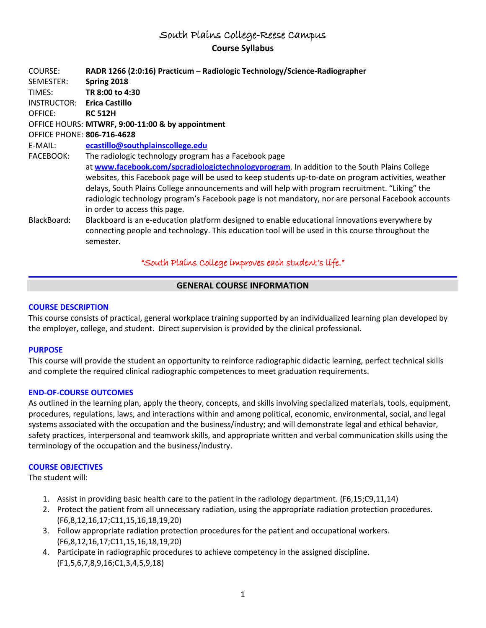# South Plains College-Reese Campus **Course Syllabus**

| COURSE:<br>SEMESTER:<br>TIMES:    | RADR 1266 (2:0:16) Practicum - Radiologic Technology/Science-Radiographer<br>Spring 2018<br>TR 8:00 to 4:30                                                                                                                                                                                                                                                                                                                                   |
|-----------------------------------|-----------------------------------------------------------------------------------------------------------------------------------------------------------------------------------------------------------------------------------------------------------------------------------------------------------------------------------------------------------------------------------------------------------------------------------------------|
| INSTRUCTOR:                       | <b>Erica Castillo</b>                                                                                                                                                                                                                                                                                                                                                                                                                         |
| OFFICE:                           | <b>RC 512H</b>                                                                                                                                                                                                                                                                                                                                                                                                                                |
|                                   | OFFICE HOURS: MTWRF, 9:00-11:00 & by appointment                                                                                                                                                                                                                                                                                                                                                                                              |
| <b>OFFICE PHONE: 806-716-4628</b> |                                                                                                                                                                                                                                                                                                                                                                                                                                               |
| E-MAIL:                           | ecastillo@southplainscollege.edu                                                                                                                                                                                                                                                                                                                                                                                                              |
| <b>FACEBOOK:</b>                  | The radiologic technology program has a Facebook page                                                                                                                                                                                                                                                                                                                                                                                         |
|                                   | at www.facebook.com/spcradiologictechnologyprogram. In addition to the South Plains College<br>websites, this Facebook page will be used to keep students up-to-date on program activities, weather<br>delays, South Plains College announcements and will help with program recruitment. "Liking" the<br>radiologic technology program's Facebook page is not mandatory, nor are personal Facebook accounts<br>in order to access this page. |
| BlackBoard:                       | Blackboard is an e-education platform designed to enable educational innovations everywhere by<br>connecting people and technology. This education tool will be used in this course throughout the<br>semester.                                                                                                                                                                                                                               |

## "South Plains College improves each student's life."

## **GENERAL COURSE INFORMATION**

## **COURSE DESCRIPTION**

This course consists of practical, general workplace training supported by an individualized learning plan developed by the employer, college, and student. Direct supervision is provided by the clinical professional.

## **PURPOSE**

This course will provide the student an opportunity to reinforce radiographic didactic learning, perfect technical skills and complete the required clinical radiographic competences to meet graduation requirements.

## **END-OF-COURSE OUTCOMES**

As outlined in the learning plan, apply the theory, concepts, and skills involving specialized materials, tools, equipment, procedures, regulations, laws, and interactions within and among political, economic, environmental, social, and legal systems associated with the occupation and the business/industry; and will demonstrate legal and ethical behavior, safety practices, interpersonal and teamwork skills, and appropriate written and verbal communication skills using the terminology of the occupation and the business/industry.

## **COURSE OBJECTIVES**

The student will:

- 1. Assist in providing basic health care to the patient in the radiology department. (F6,15;C9,11,14)
- 2. Protect the patient from all unnecessary radiation, using the appropriate radiation protection procedures. (F6,8,12,16,17;C11,15,16,18,19,20)
- 3. Follow appropriate radiation protection procedures for the patient and occupational workers. (F6,8,12,16,17;C11,15,16,18,19,20)
- 4. Participate in radiographic procedures to achieve competency in the assigned discipline. (F1,5,6,7,8,9,16;C1,3,4,5,9,18)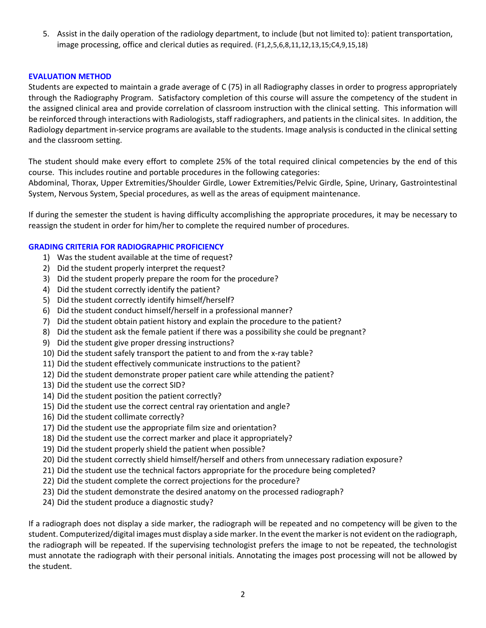5. Assist in the daily operation of the radiology department, to include (but not limited to): patient transportation, image processing, office and clerical duties as required. (F1,2,5,6,8,11,12,13,15;C4,9,15,18)

## **EVALUATION METHOD**

Students are expected to maintain a grade average of C (75) in all Radiography classes in order to progress appropriately through the Radiography Program. Satisfactory completion of this course will assure the competency of the student in the assigned clinical area and provide correlation of classroom instruction with the clinical setting. This information will be reinforced through interactions with Radiologists, staff radiographers, and patients in the clinical sites. In addition, the Radiology department in-service programs are available to the students. Image analysis is conducted in the clinical setting and the classroom setting.

The student should make every effort to complete 25% of the total required clinical competencies by the end of this course. This includes routine and portable procedures in the following categories:

Abdominal, Thorax, Upper Extremities/Shoulder Girdle, Lower Extremities/Pelvic Girdle, Spine, Urinary, Gastrointestinal System, Nervous System, Special procedures, as well as the areas of equipment maintenance.

If during the semester the student is having difficulty accomplishing the appropriate procedures, it may be necessary to reassign the student in order for him/her to complete the required number of procedures.

#### **GRADING CRITERIA FOR RADIOGRAPHIC PROFICIENCY**

- 1) Was the student available at the time of request?
- 2) Did the student properly interpret the request?
- 3) Did the student properly prepare the room for the procedure?
- 4) Did the student correctly identify the patient?
- 5) Did the student correctly identify himself/herself?
- 6) Did the student conduct himself/herself in a professional manner?
- 7) Did the student obtain patient history and explain the procedure to the patient?
- 8) Did the student ask the female patient if there was a possibility she could be pregnant?
- 9) Did the student give proper dressing instructions?
- 10) Did the student safely transport the patient to and from the x-ray table?
- 11) Did the student effectively communicate instructions to the patient?
- 12) Did the student demonstrate proper patient care while attending the patient?
- 13) Did the student use the correct SID?
- 14) Did the student position the patient correctly?
- 15) Did the student use the correct central ray orientation and angle?
- 16) Did the student collimate correctly?
- 17) Did the student use the appropriate film size and orientation?
- 18) Did the student use the correct marker and place it appropriately?
- 19) Did the student properly shield the patient when possible?
- 20) Did the student correctly shield himself/herself and others from unnecessary radiation exposure?
- 21) Did the student use the technical factors appropriate for the procedure being completed?
- 22) Did the student complete the correct projections for the procedure?
- 23) Did the student demonstrate the desired anatomy on the processed radiograph?
- 24) Did the student produce a diagnostic study?

If a radiograph does not display a side marker, the radiograph will be repeated and no competency will be given to the student. Computerized/digital images must display a side marker. In the event the marker is not evident on the radiograph, the radiograph will be repeated. If the supervising technologist prefers the image to not be repeated, the technologist must annotate the radiograph with their personal initials. Annotating the images post processing will not be allowed by the student.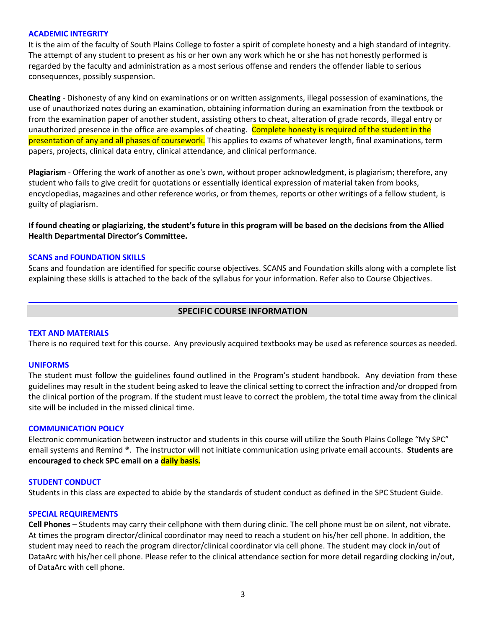#### **ACADEMIC INTEGRITY**

It is the aim of the faculty of South Plains College to foster a spirit of complete honesty and a high standard of integrity. The attempt of any student to present as his or her own any work which he or she has not honestly performed is regarded by the faculty and administration as a most serious offense and renders the offender liable to serious consequences, possibly suspension.

**Cheating** - Dishonesty of any kind on examinations or on written assignments, illegal possession of examinations, the use of unauthorized notes during an examination, obtaining information during an examination from the textbook or from the examination paper of another student, assisting others to cheat, alteration of grade records, illegal entry or unauthorized presence in the office are examples of cheating. Complete honesty is required of the student in the presentation of any and all phases of coursework. This applies to exams of whatever length, final examinations, term papers, projects, clinical data entry, clinical attendance, and clinical performance.

**Plagiarism** - Offering the work of another as one's own, without proper acknowledgment, is plagiarism; therefore, any student who fails to give credit for quotations or essentially identical expression of material taken from books, encyclopedias, magazines and other reference works, or from themes, reports or other writings of a fellow student, is guilty of plagiarism.

**If found cheating or plagiarizing, the student's future in this program will be based on the decisions from the Allied Health Departmental Director's Committee.**

#### **SCANS and FOUNDATION SKILLS**

Scans and foundation are identified for specific course objectives. SCANS and Foundation skills along with a complete list explaining these skills is attached to the back of the syllabus for your information. Refer also to Course Objectives.

## **SPECIFIC COURSE INFORMATION**

#### **TEXT AND MATERIALS**

There is no required text for this course. Any previously acquired textbooks may be used as reference sources as needed.

#### **UNIFORMS**

The student must follow the guidelines found outlined in the Program's student handbook. Any deviation from these guidelines may result in the student being asked to leave the clinical setting to correct the infraction and/or dropped from the clinical portion of the program. If the student must leave to correct the problem, the total time away from the clinical site will be included in the missed clinical time.

#### **COMMUNICATION POLICY**

Electronic communication between instructor and students in this course will utilize the South Plains College "My SPC" email systems and Remind ®. The instructor will not initiate communication using private email accounts. **Students are encouraged to check SPC email on a daily basis.**

#### **STUDENT CONDUCT**

Students in this class are expected to abide by the standards of student conduct as defined in the SPC Student Guide.

#### **SPECIAL REQUIREMENTS**

**Cell Phones** – Students may carry their cellphone with them during clinic. The cell phone must be on silent, not vibrate. At times the program director/clinical coordinator may need to reach a student on his/her cell phone. In addition, the student may need to reach the program director/clinical coordinator via cell phone. The student may clock in/out of DataArc with his/her cell phone. Please refer to the clinical attendance section for more detail regarding clocking in/out, of DataArc with cell phone.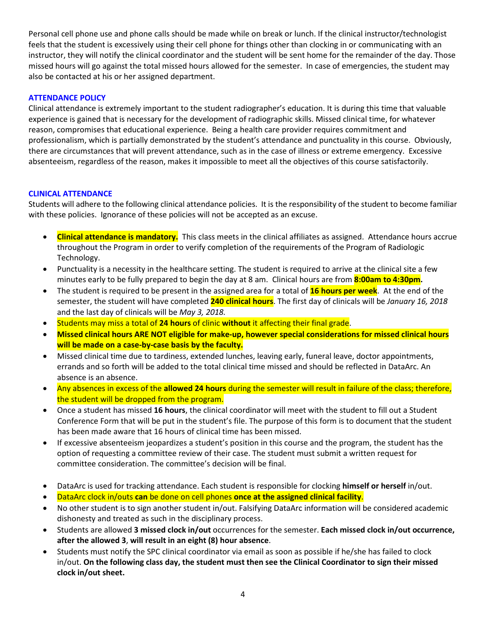Personal cell phone use and phone calls should be made while on break or lunch. If the clinical instructor/technologist feels that the student is excessively using their cell phone for things other than clocking in or communicating with an instructor, they will notify the clinical coordinator and the student will be sent home for the remainder of the day. Those missed hours will go against the total missed hours allowed for the semester. In case of emergencies, the student may also be contacted at his or her assigned department.

## **ATTENDANCE POLICY**

Clinical attendance is extremely important to the student radiographer's education. It is during this time that valuable experience is gained that is necessary for the development of radiographic skills. Missed clinical time, for whatever reason, compromises that educational experience. Being a health care provider requires commitment and professionalism, which is partially demonstrated by the student's attendance and punctuality in this course. Obviously, there are circumstances that will prevent attendance, such as in the case of illness or extreme emergency. Excessive absenteeism, regardless of the reason, makes it impossible to meet all the objectives of this course satisfactorily.

## **CLINICAL ATTENDANCE**

Students will adhere to the following clinical attendance policies. It is the responsibility of the student to become familiar with these policies. Ignorance of these policies will not be accepted as an excuse.

- **Clinical attendance is mandatory.** This class meets in the clinical affiliates as assigned. Attendance hours accrue throughout the Program in order to verify completion of the requirements of the Program of Radiologic Technology.
- Punctuality is a necessity in the healthcare setting. The student is required to arrive at the clinical site a few minutes early to be fully prepared to begin the day at 8 am. Clinical hours are from **8:00am to 4:30pm.**
- The student is required to be present in the assigned area for a total of **16 hours per week**. At the end of the semester, the student will have completed **240 clinical hours**. The first day of clinicals will be *January 16, 2018* and the last day of clinicals will be *May 3, 2018.*
- Students may miss a total of **24 hours** of clinic **without** it affecting their final grade.
- **Missed clinical hours ARE NOT eligible for make-up, however special considerations for missed clinical hours will be made on a case-by-case basis by the faculty.**
- Missed clinical time due to tardiness, extended lunches, leaving early, funeral leave, doctor appointments, errands and so forth will be added to the total clinical time missed and should be reflected in DataArc. An absence is an absence.
- Any absences in excess of the **allowed 24 hours** during the semester will result in failure of the class; therefore, the student will be dropped from the program.
- Once a student has missed **16 hours**, the clinical coordinator will meet with the student to fill out a Student Conference Form that will be put in the student's file. The purpose of this form is to document that the student has been made aware that 16 hours of clinical time has been missed.
- If excessive absenteeism jeopardizes a student's position in this course and the program, the student has the option of requesting a committee review of their case. The student must submit a written request for committee consideration. The committee's decision will be final.
- DataArc is used for tracking attendance. Each student is responsible for clocking **himself or herself** in/out.
- DataArc clock in/outs **can** be done on cell phones **once at the assigned clinical facility**.
- No other student is to sign another student in/out. Falsifying DataArc information will be considered academic dishonesty and treated as such in the disciplinary process.
- Students are allowed **3 missed clock in/out** occurrences for the semester. **Each missed clock in/out occurrence, after the allowed 3**, **will result in an eight (8) hour absence**.
- Students must notify the SPC clinical coordinator via email as soon as possible if he/she has failed to clock in/out. **On the following class day, the student must then see the Clinical Coordinator to sign their missed clock in/out sheet.**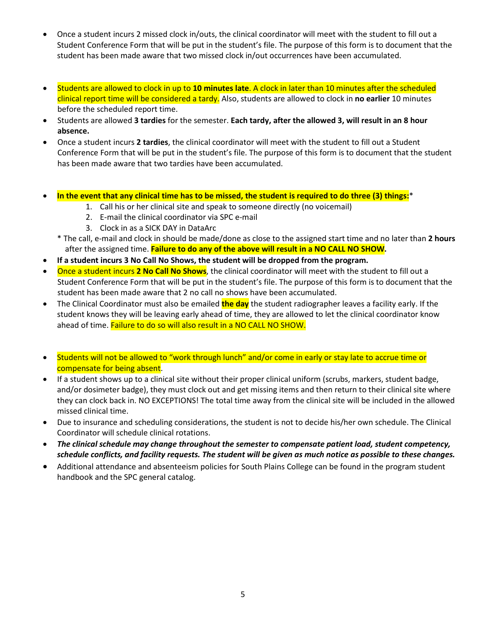- Once a student incurs 2 missed clock in/outs, the clinical coordinator will meet with the student to fill out a Student Conference Form that will be put in the student's file. The purpose of this form is to document that the student has been made aware that two missed clock in/out occurrences have been accumulated.
- Students are allowed to clock in up to **10 minutes late**. A clock in later than 10 minutes after the scheduled clinical report time will be considered a tardy. Also, students are allowed to clock in **no earlier** 10 minutes before the scheduled report time.
- Students are allowed **3 tardies** for the semester. **Each tardy, after the allowed 3, will result in an 8 hour absence.**
- Once a student incurs **2 tardies**, the clinical coordinator will meet with the student to fill out a Student Conference Form that will be put in the student's file. The purpose of this form is to document that the student has been made aware that two tardies have been accumulated.
- **In the event that any clinical time has to be missed, the student is required to do three (3) things:**\*
	- 1. Call his or her clinical site and speak to someone directly (no voicemail)
	- 2. E-mail the clinical coordinator via SPC e-mail
	- 3. Clock in as a SICK DAY in DataArc
	- \* The call, e-mail and clock in should be made/done as close to the assigned start time and no later than **2 hours** after the assigned time. **Failure to do any of the above will result in a NO CALL NO SHOW.**
- **If a student incurs 3 No Call No Shows, the student will be dropped from the program.**
- Once a student incurs **2 No Call No Shows**, the clinical coordinator will meet with the student to fill out a Student Conference Form that will be put in the student's file. The purpose of this form is to document that the student has been made aware that 2 no call no shows have been accumulated.
- The Clinical Coordinator must also be emailed **the day** the student radiographer leaves a facility early. If the student knows they will be leaving early ahead of time, they are allowed to let the clinical coordinator know ahead of time. Failure to do so will also result in a NO CALL NO SHOW.
- Students will not be allowed to "work through lunch" and/or come in early or stay late to accrue time or compensate for being absent.
- If a student shows up to a clinical site without their proper clinical uniform (scrubs, markers, student badge, and/or dosimeter badge), they must clock out and get missing items and then return to their clinical site where they can clock back in. NO EXCEPTIONS! The total time away from the clinical site will be included in the allowed missed clinical time.
- Due to insurance and scheduling considerations, the student is not to decide his/her own schedule. The Clinical Coordinator will schedule clinical rotations.
- *The clinical schedule may change throughout the semester to compensate patient load, student competency, schedule conflicts, and facility requests. The student will be given as much notice as possible to these changes.*
- Additional attendance and absenteeism policies for South Plains College can be found in the program student handbook and the SPC general catalog.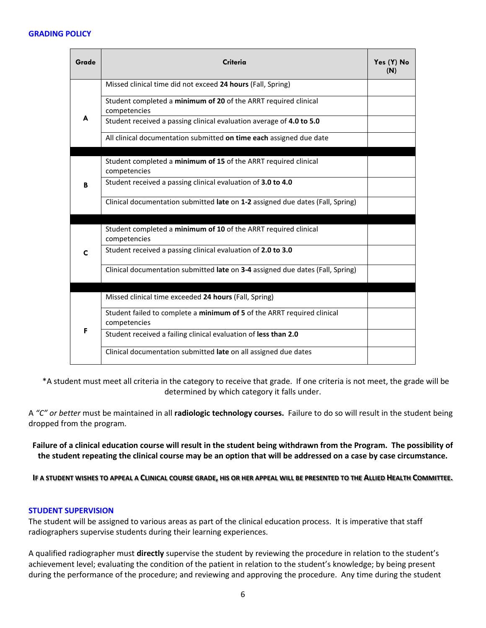#### **GRADING POLICY**

| Grade       | Criteria                                                                                | Yes (Y) No<br>(N) |
|-------------|-----------------------------------------------------------------------------------------|-------------------|
|             | Missed clinical time did not exceed 24 hours (Fall, Spring)                             |                   |
| A           | Student completed a minimum of 20 of the ARRT required clinical<br>competencies         |                   |
|             | Student received a passing clinical evaluation average of 4.0 to 5.0                    |                   |
|             | All clinical documentation submitted on time each assigned due date                     |                   |
|             |                                                                                         |                   |
|             | Student completed a minimum of 15 of the ARRT required clinical<br>competencies         |                   |
| B           | Student received a passing clinical evaluation of 3.0 to 4.0                            |                   |
|             | Clinical documentation submitted late on 1-2 assigned due dates (Fall, Spring)          |                   |
|             |                                                                                         |                   |
|             | Student completed a minimum of 10 of the ARRT required clinical<br>competencies         |                   |
| $\mathbf c$ | Student received a passing clinical evaluation of 2.0 to 3.0                            |                   |
|             | Clinical documentation submitted late on 3-4 assigned due dates (Fall, Spring)          |                   |
|             |                                                                                         |                   |
|             | Missed clinical time exceeded 24 hours (Fall, Spring)                                   |                   |
| F           | Student failed to complete a minimum of 5 of the ARRT required clinical<br>competencies |                   |
|             | Student received a failing clinical evaluation of less than 2.0                         |                   |
|             | Clinical documentation submitted late on all assigned due dates                         |                   |

 \*A student must meet all criteria in the category to receive that grade. If one criteria is not meet, the grade will be determined by which category it falls under.

A *"C" or better* must be maintained in all **radiologic technology courses.** Failure to do so will result in the student being dropped from the program.

**Failure of a clinical education course will result in the student being withdrawn from the Program. The possibility of the student repeating the clinical course may be an option that will be addressed on a case by case circumstance.**

**IF A STUDENT WISHES TO APPEAL A CLINICAL COURSE GRADE, HIS OR HER APPEAL WILL BE PRESENTED TO THE ALLIED HEALTH COMMITTEE.**

#### **STUDENT SUPERVISION**

The student will be assigned to various areas as part of the clinical education process. It is imperative that staff radiographers supervise students during their learning experiences.

A qualified radiographer must **directly** supervise the student by reviewing the procedure in relation to the student's achievement level; evaluating the condition of the patient in relation to the student's knowledge; by being present during the performance of the procedure; and reviewing and approving the procedure. Any time during the student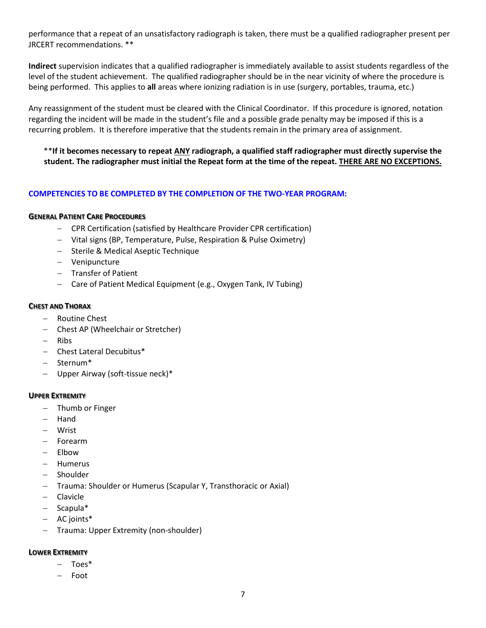performance that a repeat of an unsatisfactory radiograph is taken, there must be a qualified radiographer present per JRCERT recommendations. \*\*

**Indirect** supervision indicates that a qualified radiographer is immediately available to assist students regardless of the level of the student achievement. The qualified radiographer should be in the near vicinity of where the procedure is being performed. This applies to **all** areas where ionizing radiation is in use (surgery, portables, trauma, etc.)

Any reassignment of the student must be cleared with the Clinical Coordinator. If this procedure is ignored, notation regarding the incident will be made in the student's file and a possible grade penalty may be imposed if this is a recurring problem. It is therefore imperative that the students remain in the primary area of assignment.

\*\***If it becomes necessary to repeat ANY radiograph, a qualified staff radiographer must directly supervise the student. The radiographer must initial the Repeat form at the time of the repeat. THERE ARE NO EXCEPTIONS.**

## **COMPETENCIES TO BE COMPLETED BY THE COMPLETION OF THE TWO-YEAR PROGRAM:**

#### **GENERAL PATIENT CARE PROCEDURES**

- − CPR Certification (satisfied by Healthcare Provider CPR certification)
- − Vital signs (BP, Temperature, Pulse, Respiration & Pulse Oximetry)
- − Sterile & Medical Aseptic Technique
- − Venipuncture
- − Transfer of Patient
- − Care of Patient Medical Equipment (e.g., Oxygen Tank, IV Tubing)

#### **CHEST AND THORAX**

- − Routine Chest
- − Chest AP (Wheelchair or Stretcher)
- − Ribs
- − Chest Lateral Decubitus\*
- − Sternum\*
- Upper Airway (soft-tissue neck)\*

#### **UPPER EXTREMITY**

- − Thumb or Finger
- − Hand
- − Wrist
- − Forearm
- − Elbow
- − Humerus
- − Shoulder
- − Trauma: Shoulder or Humerus (Scapular Y, Transthoracic or Axial)
- − Clavicle
- − Scapula\*
- − AC joints\*
- − Trauma: Upper Extremity (non-shoulder)

## **LOWER EXTREMITY**

- − Toes\*
- − Foot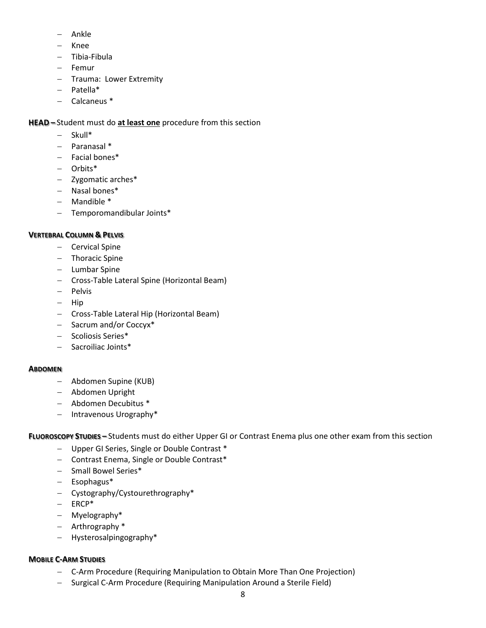- − Ankle
- − Knee
- − Tibia-Fibula
- − Femur
- − Trauma: Lower Extremity
- − Patella\*
- − Calcaneus \*

## **HEAD –** Student must do **at least one** procedure from this section

- − Skull\*
- − Paranasal \*
- − Facial bones\*
- − Orbits\*
- − Zygomatic arches\*
- − Nasal bones\*
- − Mandible \*
- − Temporomandibular Joints\*

## **VERTEBRAL COLUMN & PELVIS**

- − Cervical Spine
- − Thoracic Spine
- − Lumbar Spine
- − Cross-Table Lateral Spine (Horizontal Beam)
- − Pelvis
- − Hip
- − Cross-Table Lateral Hip (Horizontal Beam)
- − Sacrum and/or Coccyx\*
- − Scoliosis Series\*
- − Sacroiliac Joints\*

## **ABDOMEN**

- − Abdomen Supine (KUB)
- − Abdomen Upright
- − Abdomen Decubitus \*
- − Intravenous Urography\*

**FLUOROSCOPY STUDIES –** Students must do either Upper GI or Contrast Enema plus one other exam from this section

- − Upper GI Series, Single or Double Contrast \*
- − Contrast Enema, Single or Double Contrast\*
- − Small Bowel Series\*
- − Esophagus\*
- − Cystography/Cystourethrography\*
- − ERCP\*
- − Myelography\*
- − Arthrography \*
- − Hysterosalpingography\*

## **MOBILE C-ARM STUDIES**

- − C-Arm Procedure (Requiring Manipulation to Obtain More Than One Projection)
- − Surgical C-Arm Procedure (Requiring Manipulation Around a Sterile Field)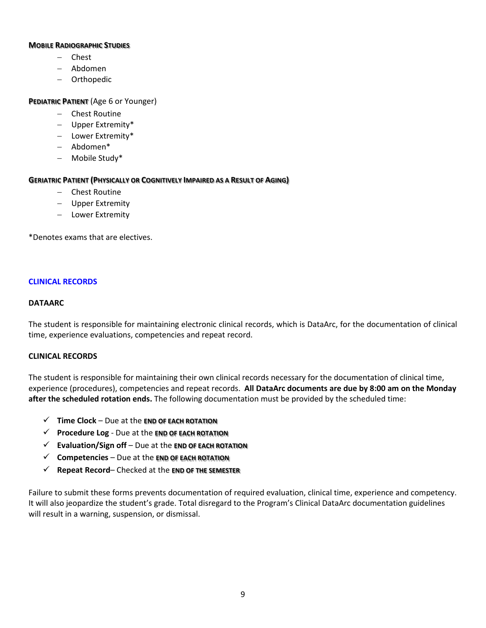#### **MOBILE RADIOGRAPHIC STUDIES**

- − Chest
- − Abdomen
- − Orthopedic

## **PEDIATRIC PATIENT** (Age 6 or Younger)

- − Chest Routine
- − Upper Extremity\*
- − Lower Extremity\*
- − Abdomen\*
- − Mobile Study\*

## **GERIATRIC PATIENT (PHYSICALLY OR COGNITIVELY IMPAIRED AS A RESULT OF AGING)**

- − Chest Routine
- − Upper Extremity
- − Lower Extremity

\*Denotes exams that are electives.

## **CLINICAL RECORDS**

## **DATAARC**

The student is responsible for maintaining electronic clinical records, which is DataArc, for the documentation of clinical time, experience evaluations, competencies and repeat record.

#### **CLINICAL RECORDS**

The student is responsible for maintaining their own clinical records necessary for the documentation of clinical time, experience (procedures), competencies and repeat records. **All DataArc documents are due by 8:00 am on the Monday after the scheduled rotation ends.** The following documentation must be provided by the scheduled time:

- **Time Clock**  Due at the **END OF EACH ROTATION**
- **Procedure Log** Due at the **END OF EACH ROTATION**
- **Evaluation/Sign off**  Due at the **END OF EACH ROTATION**
- **Competencies** Due at the **END OF EACH ROTATION**
- **Repeat Record** Checked at the **END OF THE SEMESTER**

Failure to submit these forms prevents documentation of required evaluation, clinical time, experience and competency. It will also jeopardize the student's grade. Total disregard to the Program's Clinical DataArc documentation guidelines will result in a warning, suspension, or dismissal.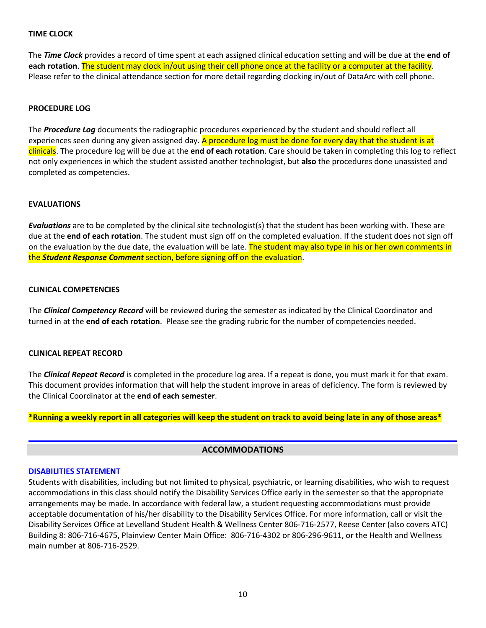#### **TIME CLOCK**

The *Time Clock* provides a record of time spent at each assigned clinical education setting and will be due at the **end of each rotation**. The student may clock in/out using their cell phone once at the facility or a computer at the facility. Please refer to the clinical attendance section for more detail regarding clocking in/out of DataArc with cell phone.

#### **PROCEDURE LOG**

The *Procedure Log* documents the radiographic procedures experienced by the student and should reflect all experiences seen during any given assigned day. A procedure log must be done for every day that the student is at clinicals. The procedure log will be due at the **end of each rotation**. Care should be taken in completing this log to reflect not only experiences in which the student assisted another technologist, but **also** the procedures done unassisted and completed as competencies.

#### **EVALUATIONS**

*Evaluations* are to be completed by the clinical site technologist(s) that the student has been working with. These are due at the **end of each rotation**. The student must sign off on the completed evaluation. If the student does not sign off on the evaluation by the due date, the evaluation will be late. The student may also type in his or her own comments in the *Student Response Comment* section, before signing off on the evaluation.

#### **CLINICAL COMPETENCIES**

The *Clinical Competency Record* will be reviewed during the semester as indicated by the Clinical Coordinator and turned in at the **end of each rotation**. Please see the grading rubric for the number of competencies needed.

#### **CLINICAL REPEAT RECORD**

The *Clinical Repeat Record* is completed in the procedure log area. If a repeat is done, you must mark it for that exam. This document provides information that will help the student improve in areas of deficiency. The form is reviewed by the Clinical Coordinator at the **end of each semester**.

**\*Running a weekly report in all categories will keep the student on track to avoid being late in any of those areas\***

#### **ACCOMMODATIONS**

#### **DISABILITIES STATEMENT**

Students with disabilities, including but not limited to physical, psychiatric, or learning disabilities, who wish to request accommodations in this class should notify the Disability Services Office early in the semester so that the appropriate arrangements may be made. In accordance with federal law, a student requesting accommodations must provide acceptable documentation of his/her disability to the Disability Services Office. For more information, call or visit the Disability Services Office at Levelland Student Health & Wellness Center 806-716-2577, Reese Center (also covers ATC) Building 8: 806-716-4675, Plainview Center Main Office: 806-716-4302 or 806-296-9611, or the Health and Wellness main number at 806-716-2529.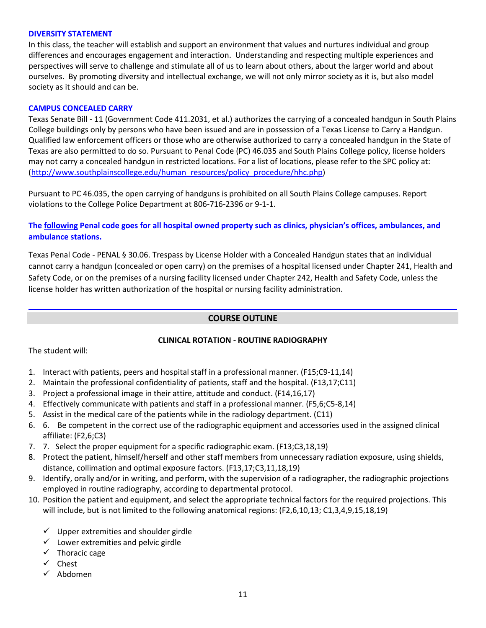#### **DIVERSITY STATEMENT**

In this class, the teacher will establish and support an environment that values and nurtures individual and group differences and encourages engagement and interaction. Understanding and respecting multiple experiences and perspectives will serve to challenge and stimulate all of us to learn about others, about the larger world and about ourselves. By promoting diversity and intellectual exchange, we will not only mirror society as it is, but also model society as it should and can be.

## **CAMPUS CONCEALED CARRY**

Texas Senate Bill - 11 (Government Code 411.2031, et al.) authorizes the carrying of a concealed handgun in South Plains College buildings only by persons who have been issued and are in possession of a Texas License to Carry a Handgun. Qualified law enforcement officers or those who are otherwise authorized to carry a concealed handgun in the State of Texas are also permitted to do so. Pursuant to Penal Code (PC) 46.035 and South Plains College policy, license holders may not carry a concealed handgun in restricted locations. For a list of locations, please refer to the SPC policy at: [\(http://www.southplainscollege.edu/human\\_resources/policy\\_procedure/hhc.php\)](http://www.southplainscollege.edu/human_resources/policy_procedure/hhc.php)

Pursuant to PC 46.035, the open carrying of handguns is prohibited on all South Plains College campuses. Report violations to the College Police Department at 806-716-2396 or 9-1-1.

## **The following Penal code goes for all hospital owned property such as clinics, physician's offices, ambulances, and ambulance stations.**

Texas Penal Code - PENAL § 30.06. Trespass by License Holder with a Concealed Handgun states that an individual cannot carry a handgun (concealed or open carry) on the premises of a hospital licensed under Chapter 241, Health and Safety Code, or on the premises of a nursing facility licensed under Chapter 242, Health and Safety Code, unless the license holder has written authorization of the hospital or nursing facility administration.

## **COURSE OUTLINE**

## **CLINICAL ROTATION - ROUTINE RADIOGRAPHY**

The student will:

- 1. Interact with patients, peers and hospital staff in a professional manner. (F15;C9-11,14)
- 2. Maintain the professional confidentiality of patients, staff and the hospital. (F13,17;C11)
- 3. Project a professional image in their attire, attitude and conduct. (F14,16,17)
- 4. Effectively communicate with patients and staff in a professional manner. (F5,6;C5-8,14)
- 5. Assist in the medical care of the patients while in the radiology department. (C11)
- 6. 6. Be competent in the correct use of the radiographic equipment and accessories used in the assigned clinical affiliate: (F2,6;C3)
- 7. 7. Select the proper equipment for a specific radiographic exam. (F13;C3,18,19)
- 8. Protect the patient, himself/herself and other staff members from unnecessary radiation exposure, using shields, distance, collimation and optimal exposure factors. (F13,17;C3,11,18,19)
- 9. Identify, orally and/or in writing, and perform, with the supervision of a radiographer, the radiographic projections employed in routine radiography, according to departmental protocol.
- 10. Position the patient and equipment, and select the appropriate technical factors for the required projections. This will include, but is not limited to the following anatomical regions: (F2,6,10,13; C1,3,4,9,15,18,19)
	- $\checkmark$  Upper extremities and shoulder girdle
	- $\checkmark$  Lower extremities and pelvic girdle
	- $\checkmark$  Thoracic cage
	- $\checkmark$  Chest
	- Abdomen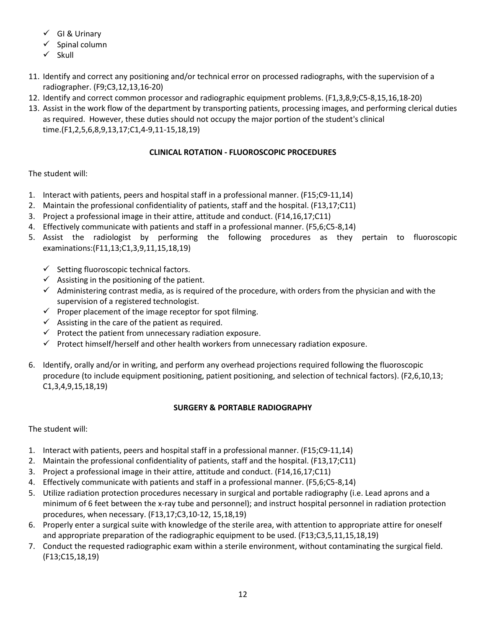- $\checkmark$  GI & Urinary
- Spinal column
- $\checkmark$  Skull
- 11. Identify and correct any positioning and/or technical error on processed radiographs, with the supervision of a radiographer. (F9;C3,12,13,16-20)
- 12. Identify and correct common processor and radiographic equipment problems. (F1,3,8,9;C5-8,15,16,18-20)
- 13. Assist in the work flow of the department by transporting patients, processing images, and performing clerical duties as required. However, these duties should not occupy the major portion of the student's clinical time.(F1,2,5,6,8,9,13,17;C1,4-9,11-15,18,19)

# **CLINICAL ROTATION - FLUOROSCOPIC PROCEDURES**

# The student will:

- 1. Interact with patients, peers and hospital staff in a professional manner. (F15;C9-11,14)
- 2. Maintain the professional confidentiality of patients, staff and the hospital. (F13,17;C11)
- 3. Project a professional image in their attire, attitude and conduct. (F14,16,17;C11)
- 4. Effectively communicate with patients and staff in a professional manner. (F5,6;C5-8,14)
- 5. Assist the radiologist by performing the following procedures as they pertain to fluoroscopic examinations:(F11,13;C1,3,9,11,15,18,19)
	- $\checkmark$  Setting fluoroscopic technical factors.
	- $\checkmark$  Assisting in the positioning of the patient.
	- $\checkmark$  Administering contrast media, as is required of the procedure, with orders from the physician and with the supervision of a registered technologist.
	- $\checkmark$  Proper placement of the image receptor for spot filming.
	- $\checkmark$  Assisting in the care of the patient as required.
	- $\checkmark$  Protect the patient from unnecessary radiation exposure.
	- $\checkmark$  Protect himself/herself and other health workers from unnecessary radiation exposure.
- 6. Identify, orally and/or in writing, and perform any overhead projections required following the fluoroscopic procedure (to include equipment positioning, patient positioning, and selection of technical factors). (F2,6,10,13; C1,3,4,9,15,18,19)

## **SURGERY & PORTABLE RADIOGRAPHY**

The student will:

- 1. Interact with patients, peers and hospital staff in a professional manner. (F15;C9-11,14)
- 2. Maintain the professional confidentiality of patients, staff and the hospital. (F13,17;C11)
- 3. Project a professional image in their attire, attitude and conduct. (F14,16,17;C11)
- 4. Effectively communicate with patients and staff in a professional manner. (F5,6;C5-8,14)
- 5. Utilize radiation protection procedures necessary in surgical and portable radiography (i.e. Lead aprons and a minimum of 6 feet between the x-ray tube and personnel); and instruct hospital personnel in radiation protection procedures, when necessary. (F13,17;C3,10-12, 15,18,19)
- 6. Properly enter a surgical suite with knowledge of the sterile area, with attention to appropriate attire for oneself and appropriate preparation of the radiographic equipment to be used. (F13;C3,5,11,15,18,19)
- 7. Conduct the requested radiographic exam within a sterile environment, without contaminating the surgical field. (F13;C15,18,19)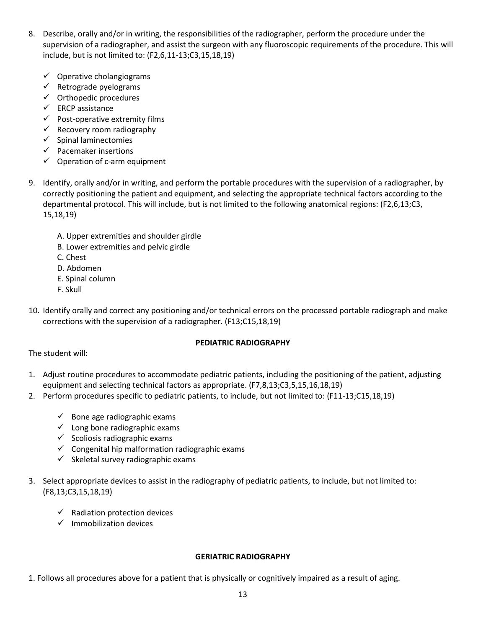- 8. Describe, orally and/or in writing, the responsibilities of the radiographer, perform the procedure under the supervision of a radiographer, and assist the surgeon with any fluoroscopic requirements of the procedure. This will include, but is not limited to: (F2,6,11-13;C3,15,18,19)
	- $\checkmark$  Operative cholangiograms
	- $\checkmark$  Retrograde pyelograms
	- $\checkmark$  Orthopedic procedures
	- $\checkmark$  ERCP assistance
	- $\checkmark$  Post-operative extremity films
	- $\checkmark$  Recovery room radiography
	- $\checkmark$  Spinal laminectomies
	- $\checkmark$  Pacemaker insertions
	- $\checkmark$  Operation of c-arm equipment
- 9. Identify, orally and/or in writing, and perform the portable procedures with the supervision of a radiographer, by correctly positioning the patient and equipment, and selecting the appropriate technical factors according to the departmental protocol. This will include, but is not limited to the following anatomical regions: (F2,6,13;C3, 15,18,19)
	- A. Upper extremities and shoulder girdle
	- B. Lower extremities and pelvic girdle
	- C. Chest
	- D. Abdomen
	- E. Spinal column
	- F. Skull
- 10. Identify orally and correct any positioning and/or technical errors on the processed portable radiograph and make corrections with the supervision of a radiographer. (F13;C15,18,19)

## **PEDIATRIC RADIOGRAPHY**

The student will:

- 1. Adjust routine procedures to accommodate pediatric patients, including the positioning of the patient, adjusting equipment and selecting technical factors as appropriate. (F7,8,13;C3,5,15,16,18,19)
- 2. Perform procedures specific to pediatric patients, to include, but not limited to: (F11-13;C15,18,19)
	- $\checkmark$  Bone age radiographic exams
	- $\checkmark$  Long bone radiographic exams
	- $\checkmark$  Scoliosis radiographic exams
	- $\checkmark$  Congenital hip malformation radiographic exams
	- $\checkmark$  Skeletal survey radiographic exams
- 3. Select appropriate devices to assist in the radiography of pediatric patients, to include, but not limited to: (F8,13;C3,15,18,19)
	- $\checkmark$  Radiation protection devices
	- $\checkmark$  Immobilization devices

## **GERIATRIC RADIOGRAPHY**

1. Follows all procedures above for a patient that is physically or cognitively impaired as a result of aging.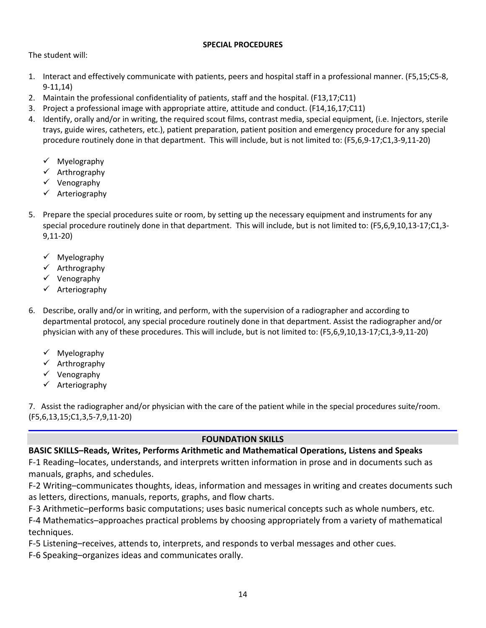## **SPECIAL PROCEDURES**

The student will:

- 1. Interact and effectively communicate with patients, peers and hospital staff in a professional manner. (F5,15;C5-8, 9-11,14)
- 2. Maintain the professional confidentiality of patients, staff and the hospital. (F13,17;C11)
- 3. Project a professional image with appropriate attire, attitude and conduct. (F14,16,17;C11)
- 4. Identify, orally and/or in writing, the required scout films, contrast media, special equipment, (i.e. Injectors, sterile trays, guide wires, catheters, etc.), patient preparation, patient position and emergency procedure for any special procedure routinely done in that department. This will include, but is not limited to: (F5,6,9-17;C1,3-9,11-20)
	- $\checkmark$  Myelography
	- $\checkmark$  Arthrography
	- $\checkmark$  Venography
	- $\checkmark$  Arteriography
- 5. Prepare the special procedures suite or room, by setting up the necessary equipment and instruments for any special procedure routinely done in that department. This will include, but is not limited to: (F5,6,9,10,13-17;C1,3- 9,11-20)
	- $\checkmark$  Myelography
	- $\checkmark$  Arthrography
	- $\checkmark$  Venography
	- Arteriography
- 6. Describe, orally and/or in writing, and perform, with the supervision of a radiographer and according to departmental protocol, any special procedure routinely done in that department. Assist the radiographer and/or physician with any of these procedures. This will include, but is not limited to: (F5,6,9,10,13-17;C1,3-9,11-20)
	- $\checkmark$  Myelography
	- $\checkmark$  Arthrography
	- $\checkmark$  Venography
	- $\checkmark$  Arteriography

7. Assist the radiographer and/or physician with the care of the patient while in the special procedures suite/room. (F5,6,13,15;C1,3,5-7,9,11-20)

## **FOUNDATION SKILLS**

# **BASIC SKILLS–Reads, Writes, Performs Arithmetic and Mathematical Operations, Listens and Speaks**

F-1 Reading–locates, understands, and interprets written information in prose and in documents such as manuals, graphs, and schedules.

F-2 Writing–communicates thoughts, ideas, information and messages in writing and creates documents such as letters, directions, manuals, reports, graphs, and flow charts.

F-3 Arithmetic–performs basic computations; uses basic numerical concepts such as whole numbers, etc.

F-4 Mathematics–approaches practical problems by choosing appropriately from a variety of mathematical techniques.

F-5 Listening–receives, attends to, interprets, and responds to verbal messages and other cues.

F-6 Speaking–organizes ideas and communicates orally.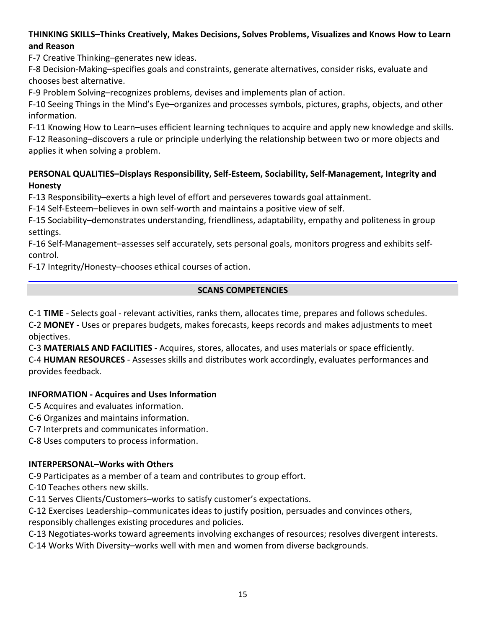# **THINKING SKILLS–Thinks Creatively, Makes Decisions, Solves Problems, Visualizes and Knows How to Learn and Reason**

F-7 Creative Thinking–generates new ideas.

F-8 Decision-Making–specifies goals and constraints, generate alternatives, consider risks, evaluate and chooses best alternative.

F-9 Problem Solving–recognizes problems, devises and implements plan of action.

F-10 Seeing Things in the Mind's Eye–organizes and processes symbols, pictures, graphs, objects, and other information.

F-11 Knowing How to Learn–uses efficient learning techniques to acquire and apply new knowledge and skills.

F-12 Reasoning–discovers a rule or principle underlying the relationship between two or more objects and applies it when solving a problem.

# **PERSONAL QUALITIES–Displays Responsibility, Self-Esteem, Sociability, Self-Management, Integrity and Honesty**

F-13 Responsibility–exerts a high level of effort and perseveres towards goal attainment.

F-14 Self-Esteem–believes in own self-worth and maintains a positive view of self.

F-15 Sociability–demonstrates understanding, friendliness, adaptability, empathy and politeness in group settings.

F-16 Self-Management–assesses self accurately, sets personal goals, monitors progress and exhibits selfcontrol.

F-17 Integrity/Honesty–chooses ethical courses of action.

## **SCANS COMPETENCIES**

C-1 **TIME** - Selects goal - relevant activities, ranks them, allocates time, prepares and follows schedules. C-2 **MONEY** - Uses or prepares budgets, makes forecasts, keeps records and makes adjustments to meet objectives.

C-3 **MATERIALS AND FACILITIES** - Acquires, stores, allocates, and uses materials or space efficiently. C-4 **HUMAN RESOURCES** - Assesses skills and distributes work accordingly, evaluates performances and provides feedback.

# **INFORMATION - Acquires and Uses Information**

C-5 Acquires and evaluates information.

C-6 Organizes and maintains information.

C-7 Interprets and communicates information.

C-8 Uses computers to process information.

# **INTERPERSONAL–Works with Others**

C-9 Participates as a member of a team and contributes to group effort.

C-10 Teaches others new skills.

C-11 Serves Clients/Customers–works to satisfy customer's expectations.

C-12 Exercises Leadership–communicates ideas to justify position, persuades and convinces others,

responsibly challenges existing procedures and policies.

C-13 Negotiates-works toward agreements involving exchanges of resources; resolves divergent interests.

C-14 Works With Diversity–works well with men and women from diverse backgrounds.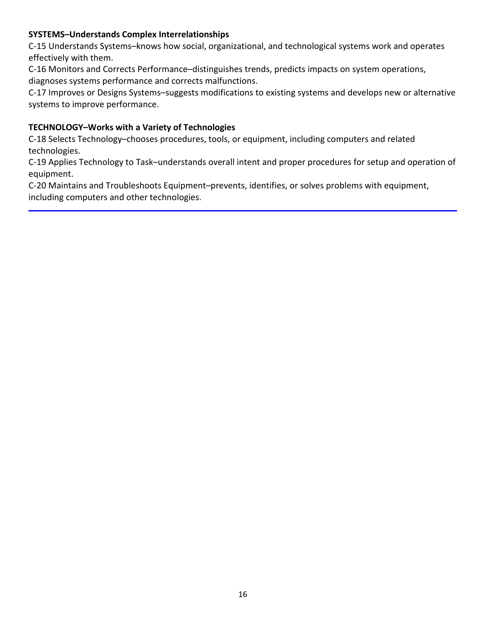# **SYSTEMS–Understands Complex Interrelationships**

C-15 Understands Systems–knows how social, organizational, and technological systems work and operates effectively with them.

C-16 Monitors and Corrects Performance–distinguishes trends, predicts impacts on system operations, diagnoses systems performance and corrects malfunctions.

C-17 Improves or Designs Systems–suggests modifications to existing systems and develops new or alternative systems to improve performance.

## **TECHNOLOGY–Works with a Variety of Technologies**

C-18 Selects Technology–chooses procedures, tools, or equipment, including computers and related technologies.

C-19 Applies Technology to Task–understands overall intent and proper procedures for setup and operation of equipment.

C-20 Maintains and Troubleshoots Equipment–prevents, identifies, or solves problems with equipment, including computers and other technologies.